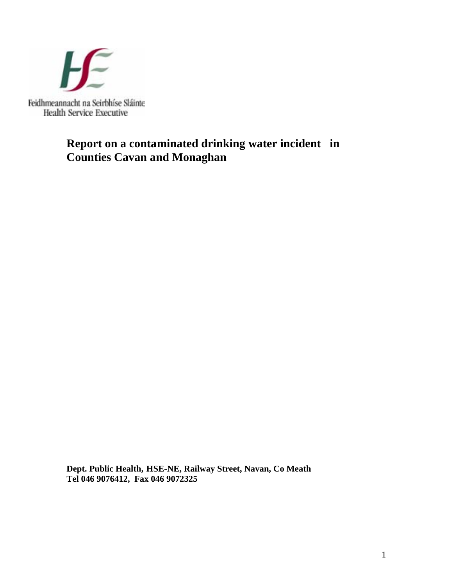

# **Report on a contaminated drinking water incident in Counties Cavan and Monaghan**

**Dept. Public Health, HSE-NE, Railway Street, Navan, Co Meath Tel 046 9076412, Fax 046 9072325**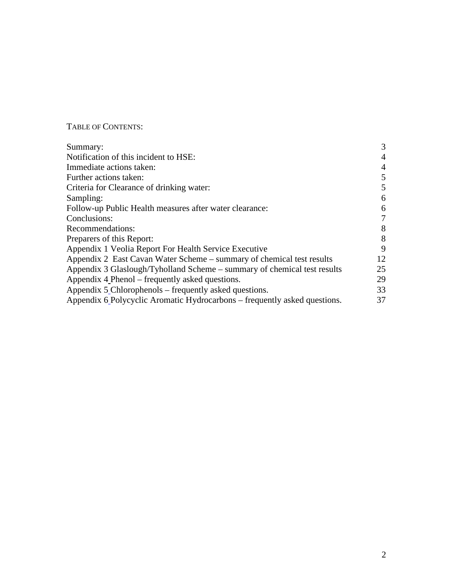## TABLE OF CONTENTS:

| Summary:                                                                  | 3              |
|---------------------------------------------------------------------------|----------------|
| Notification of this incident to HSE:                                     | $\overline{4}$ |
| Immediate actions taken:                                                  | 4              |
| Further actions taken:                                                    | 5              |
| Criteria for Clearance of drinking water:                                 | 5              |
| Sampling:                                                                 | 6              |
| Follow-up Public Health measures after water clearance:                   | 6              |
| Conclusions:                                                              | 7              |
| Recommendations:                                                          | 8              |
| Preparers of this Report:                                                 | 8              |
| Appendix 1 Veolia Report For Health Service Executive                     | 9              |
| Appendix 2 East Cavan Water Scheme – summary of chemical test results     | 12             |
| Appendix 3 Glaslough/Tyholland Scheme – summary of chemical test results  | 25             |
| Appendix 4 Phenol – frequently asked questions.                           | 29             |
| Appendix 5_Chlorophenols – frequently asked questions.                    | 33             |
| Appendix 6 Polycyclic Aromatic Hydrocarbons – frequently asked questions. | 37             |
|                                                                           |                |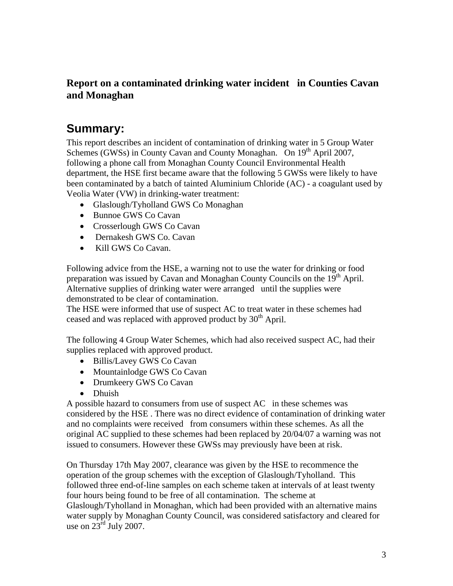# **Report on a contaminated drinking water incident in Counties Cavan and Monaghan**

# **Summary:**

This report describes an incident of contamination of drinking water in 5 Group Water Schemes (GWSs) in County Cavan and County Monaghan. On 19<sup>th</sup> April 2007, following a phone call from Monaghan County Council Environmental Health department, the HSE first became aware that the following 5 GWSs were likely to have been contaminated by a batch of tainted Aluminium Chloride (AC) - a coagulant used by Veolia Water (VW) in drinking-water treatment:

- Glaslough/Tyholland GWS Co Monaghan
- Bunnoe GWS Co Cavan
- Crosserlough GWS Co Cavan
- Dernakesh GWS Co. Cavan
- Kill GWS Co Cavan.

Following advice from the HSE, a warning not to use the water for drinking or food preparation was issued by Cavan and Monaghan County Councils on the 19<sup>th</sup> April. Alternative supplies of drinking water were arranged until the supplies were demonstrated to be clear of contamination.

The HSE were informed that use of suspect AC to treat water in these schemes had ceased and was replaced with approved product by  $30<sup>th</sup>$  April.

The following 4 Group Water Schemes, which had also received suspect AC, had their supplies replaced with approved product.

- Billis/Lavey GWS Co Cavan
- Mountainlodge GWS Co Cavan
- Drumkeery GWS Co Cavan
- Dhuish

A possible hazard to consumers from use of suspect AC in these schemes was considered by the HSE . There was no direct evidence of contamination of drinking water and no complaints were received from consumers within these schemes. As all the original AC supplied to these schemes had been replaced by 20/04/07 a warning was not issued to consumers. However these GWSs may previously have been at risk.

On Thursday 17th May 2007, clearance was given by the HSE to recommence the operation of the group schemes with the exception of Glaslough/Tyholland. This followed three end-of-line samples on each scheme taken at intervals of at least twenty four hours being found to be free of all contamination. The scheme at Glaslough/Tyholland in Monaghan, which had been provided with an alternative mains water supply by Monaghan County Council, was considered satisfactory and cleared for use on  $23^{\text{rd}}$  July 2007.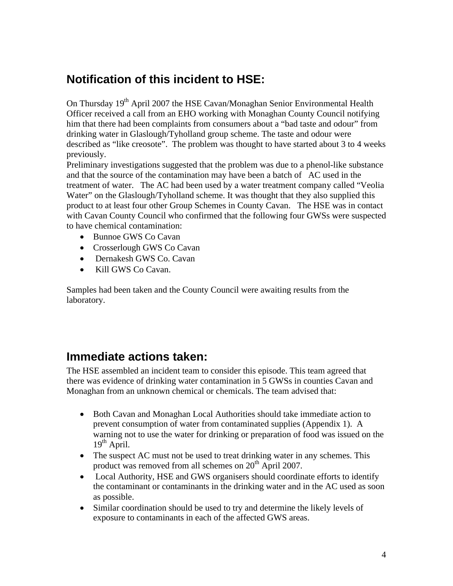# **Notification of this incident to HSE:**

On Thursday 19<sup>th</sup> April 2007 the HSE Cavan/Monaghan Senior Environmental Health Officer received a call from an EHO working with Monaghan County Council notifying him that there had been complaints from consumers about a "bad taste and odour" from drinking water in Glaslough/Tyholland group scheme. The taste and odour were described as "like creosote". The problem was thought to have started about 3 to 4 weeks previously.

Preliminary investigations suggested that the problem was due to a phenol-like substance and that the source of the contamination may have been a batch of AC used in the treatment of water. The AC had been used by a water treatment company called "Veolia Water" on the Glaslough/Tyholland scheme. It was thought that they also supplied this product to at least four other Group Schemes in County Cavan. The HSE was in contact with Cavan County Council who confirmed that the following four GWSs were suspected to have chemical contamination:

- Bunnoe GWS Co Cavan
- Crosserlough GWS Co Cavan
- Dernakesh GWS Co. Cavan
- Kill GWS Co Cavan.

Samples had been taken and the County Council were awaiting results from the laboratory.

# **Immediate actions taken:**

The HSE assembled an incident team to consider this episode. This team agreed that there was evidence of drinking water contamination in 5 GWSs in counties Cavan and Monaghan from an unknown chemical or chemicals. The team advised that:

- Both Cavan and Monaghan Local Authorities should take immediate action to prevent consumption of water from contaminated supplies (Appendix 1). A warning not to use the water for drinking or preparation of food was issued on the  $19<sup>th</sup>$  April.
- The suspect AC must not be used to treat drinking water in any schemes. This product was removed from all schemes on 20<sup>th</sup> April 2007.
- Local Authority, HSE and GWS organisers should coordinate efforts to identify the contaminant or contaminants in the drinking water and in the AC used as soon as possible.
- Similar coordination should be used to try and determine the likely levels of exposure to contaminants in each of the affected GWS areas.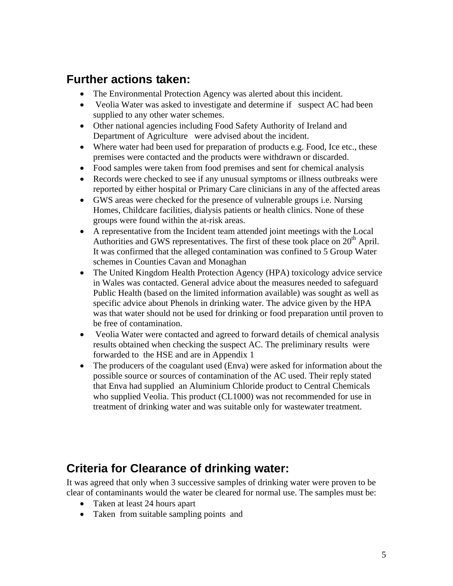# **Further actions taken:**

- The Environmental Protection Agency was alerted about this incident.
- Veolia Water was asked to investigate and determine if suspect AC had been supplied to any other water schemes.
- Other national agencies including Food Safety Authority of Ireland and Department of Agriculture were advised about the incident.
- Where water had been used for preparation of products e.g. Food, Ice etc., these premises were contacted and the products were withdrawn or discarded.
- Food samples were taken from food premises and sent for chemical analysis
- Records were checked to see if any unusual symptoms or illness outbreaks were reported by either hospital or Primary Care clinicians in any of the affected areas
- GWS areas were checked for the presence of vulnerable groups i.e. Nursing Homes, Childcare facilities, dialysis patients or health clinics. None of these groups were found within the at-risk areas.
- A representative from the Incident team attended joint meetings with the Local Authorities and GWS representatives. The first of these took place on  $20<sup>th</sup>$  April. It was confirmed that the alleged contamination was confined to 5 Group Water schemes in Counties Cavan and Monaghan
- The United Kingdom Health Protection Agency (HPA) toxicology advice service in Wales was contacted. General advice about the measures needed to safeguard Public Health (based on the limited information available) was sought as well as specific advice about Phenols in drinking water. The advice given by the HPA was that water should not be used for drinking or food preparation until proven to be free of contamination.
- Veolia Water were contacted and agreed to forward details of chemical analysis results obtained when checking the suspect AC. The preliminary results were forwarded to the HSE and are in Appendix 1
- The producers of the coagulant used (Enva) were asked for information about the possible source or sources of contamination of the AC used. Their reply stated that Enva had supplied an Aluminium Chloride product to Central Chemicals who supplied Veolia. This product (CL1000) was not recommended for use in treatment of drinking water and was suitable only for wastewater treatment.

# **Criteria for Clearance of drinking water:**

It was agreed that only when 3 successive samples of drinking water were proven to be clear of contaminants would the water be cleared for normal use. The samples must be:

- Taken at least 24 hours apart
- Taken from suitable sampling points and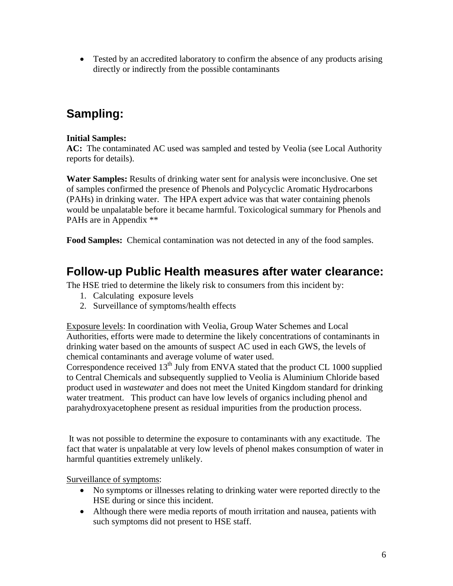• Tested by an accredited laboratory to confirm the absence of any products arising directly or indirectly from the possible contaminants

# **Sampling:**

## **Initial Samples:**

**AC:** The contaminated AC used was sampled and tested by Veolia (see Local Authority reports for details).

**Water Samples:** Results of drinking water sent for analysis were inconclusive. One set of samples confirmed the presence of Phenols and Polycyclic Aromatic Hydrocarbons (PAHs) in drinking water. The HPA expert advice was that water containing phenols would be unpalatable before it became harmful. Toxicological summary for Phenols and PAHs are in Appendix \*\*

**Food Samples:** Chemical contamination was not detected in any of the food samples.

# **Follow-up Public Health measures after water clearance:**

The HSE tried to determine the likely risk to consumers from this incident by:

- 1. Calculating exposure levels
- 2. Surveillance of symptoms/health effects

Exposure levels: In coordination with Veolia, Group Water Schemes and Local Authorities, efforts were made to determine the likely concentrations of contaminants in drinking water based on the amounts of suspect AC used in each GWS, the levels of chemical contaminants and average volume of water used.

Correspondence received  $13<sup>th</sup>$  July from ENVA stated that the product CL 1000 supplied to Central Chemicals and subsequently supplied to Veolia is Aluminium Chloride based product used in *wastewater* and does not meet the United Kingdom standard for drinking water treatment. This product can have low levels of organics including phenol and parahydroxyacetophene present as residual impurities from the production process.

It was not possible to determine the exposure to contaminants with any exactitude. The fact that water is unpalatable at very low levels of phenol makes consumption of water in harmful quantities extremely unlikely.

Surveillance of symptoms:

- No symptoms or illnesses relating to drinking water were reported directly to the HSE during or since this incident.
- Although there were media reports of mouth irritation and nausea, patients with such symptoms did not present to HSE staff.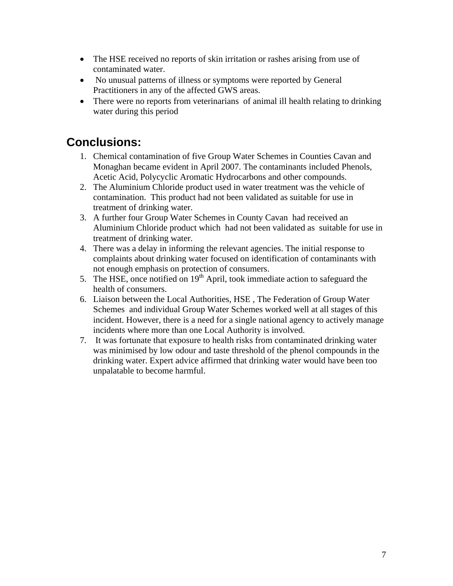- The HSE received no reports of skin irritation or rashes arising from use of contaminated water.
- No unusual patterns of illness or symptoms were reported by General Practitioners in any of the affected GWS areas.
- There were no reports from veterinarians of animal ill health relating to drinking water during this period

# **Conclusions:**

- 1. Chemical contamination of five Group Water Schemes in Counties Cavan and Monaghan became evident in April 2007. The contaminants included Phenols, Acetic Acid, Polycyclic Aromatic Hydrocarbons and other compounds.
- 2. The Aluminium Chloride product used in water treatment was the vehicle of contamination. This product had not been validated as suitable for use in treatment of drinking water.
- 3. A further four Group Water Schemes in County Cavan had received an Aluminium Chloride product which had not been validated as suitable for use in treatment of drinking water.
- 4. There was a delay in informing the relevant agencies. The initial response to complaints about drinking water focused on identification of contaminants with not enough emphasis on protection of consumers.
- 5. The HSE, once notified on  $19<sup>th</sup>$  April, took immediate action to safeguard the health of consumers.
- 6. Liaison between the Local Authorities, HSE , The Federation of Group Water Schemes and individual Group Water Schemes worked well at all stages of this incident. However, there is a need for a single national agency to actively manage incidents where more than one Local Authority is involved.
- 7. It was fortunate that exposure to health risks from contaminated drinking water was minimised by low odour and taste threshold of the phenol compounds in the drinking water. Expert advice affirmed that drinking water would have been too unpalatable to become harmful.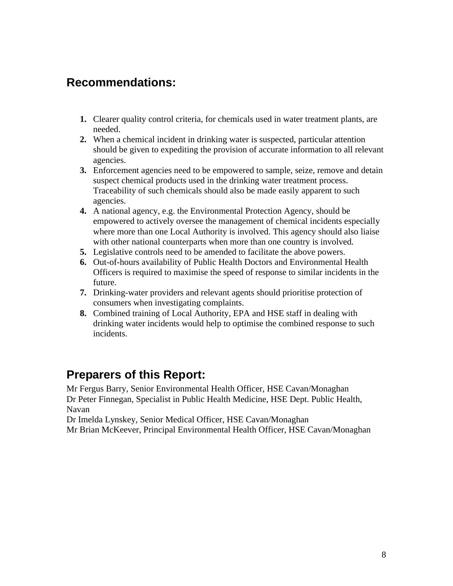# **Recommendations:**

- **1.** Clearer quality control criteria, for chemicals used in water treatment plants, are needed.
- **2.** When a chemical incident in drinking water is suspected, particular attention should be given to expediting the provision of accurate information to all relevant agencies.
- **3.** Enforcement agencies need to be empowered to sample, seize, remove and detain suspect chemical products used in the drinking water treatment process. Traceability of such chemicals should also be made easily apparent to such agencies.
- **4.** A national agency, e.g. the Environmental Protection Agency, should be empowered to actively oversee the management of chemical incidents especially where more than one Local Authority is involved. This agency should also liaise with other national counterparts when more than one country is involved.
- **5.** Legislative controls need to be amended to facilitate the above powers.
- **6.** Out-of-hours availability of Public Health Doctors and Environmental Health Officers is required to maximise the speed of response to similar incidents in the future.
- **7.** Drinking-water providers and relevant agents should prioritise protection of consumers when investigating complaints.
- **8.** Combined training of Local Authority, EPA and HSE staff in dealing with drinking water incidents would help to optimise the combined response to such incidents.

# **Preparers of this Report:**

Mr Fergus Barry, Senior Environmental Health Officer, HSE Cavan/Monaghan Dr Peter Finnegan, Specialist in Public Health Medicine, HSE Dept. Public Health, Navan

Dr Imelda Lynskey, Senior Medical Officer, HSE Cavan/Monaghan

Mr Brian McKeever, Principal Environmental Health Officer, HSE Cavan/Monaghan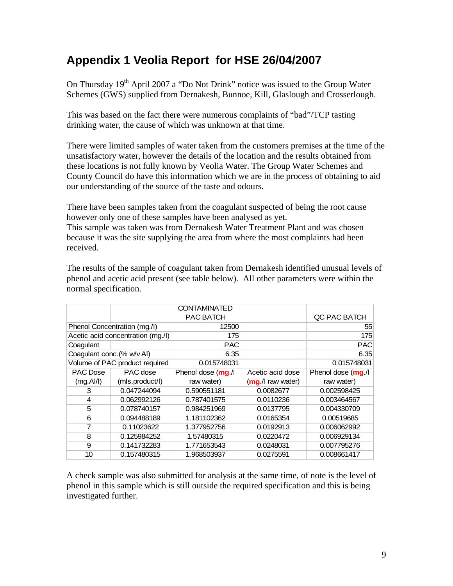# **Appendix 1 Veolia Report for HSE 26/04/2007**

On Thursday  $19<sup>th</sup>$  April 2007 a "Do Not Drink" notice was issued to the Group Water Schemes (GWS) supplied from Dernakesh, Bunnoe, Kill, Glaslough and Crosserlough.

This was based on the fact there were numerous complaints of "bad"/TCP tasting drinking water, the cause of which was unknown at that time.

There were limited samples of water taken from the customers premises at the time of the unsatisfactory water, however the details of the location and the results obtained from these locations is not fully known by Veolia Water. The Group Water Schemes and County Council do have this information which we are in the process of obtaining to aid our understanding of the source of the taste and odours.

There have been samples taken from the coagulant suspected of being the root cause however only one of these samples have been analysed as yet.

This sample was taken was from Dernakesh Water Treatment Plant and was chosen because it was the site supplying the area from where the most complaints had been received.

The results of the sample of coagulant taken from Dernakesh identified unusual levels of phenol and acetic acid present (see table below). All other parameters were within the normal specification.

|                            |                                   | <b>CONTAMINATED</b> |                      |                    |
|----------------------------|-----------------------------------|---------------------|----------------------|--------------------|
|                            |                                   | PAC BATCH           |                      | QC PAC BATCH       |
|                            | Phenol Concentration (mg./l)      | 12500               |                      | 55                 |
|                            | Acetic acid concentration (mg./l) | 175                 |                      | 175                |
| Coagulant                  |                                   | <b>PAC</b>          |                      | <b>PAC</b>         |
| Coagulant conc. (% w/v AI) |                                   | 6.35                |                      | 6.35               |
|                            | Volume of PAC product required    | 0.015748031         |                      | 0.015748031        |
| <b>PAC</b> Dose            | PAC dose                          | Phenol dose (mg./l  | Acetic acid dose     | Phenol dose (mg./l |
| (mg.AI/I)                  | (mls.product/l)                   | raw water)          | $(mq.$ /I raw water) | raw water)         |
| 3                          | 0.047244094                       | 0.590551181         | 0.0082677            | 0.002598425        |
| 4                          | 0.062992126                       | 0.787401575         | 0.0110236            | 0.003464567        |
| 5                          | 0.078740157                       | 0.984251969         | 0.0137795            | 0.004330709        |
| 6                          | 0.094488189                       | 1.181102362         | 0.0165354            | 0.00519685         |
| 7                          | 0.11023622                        | 1.377952756         | 0.0192913            | 0.006062992        |
| 8                          | 0.125984252                       | 1.57480315          | 0.0220472            | 0.006929134        |
| 9                          | 0.141732283                       | 1.771653543         | 0.0248031            | 0.007795276        |
| 10                         | 0.157480315                       | 1.968503937         | 0.0275591            | 0.008661417        |

A check sample was also submitted for analysis at the same time, of note is the level of phenol in this sample which is still outside the required specification and this is being investigated further.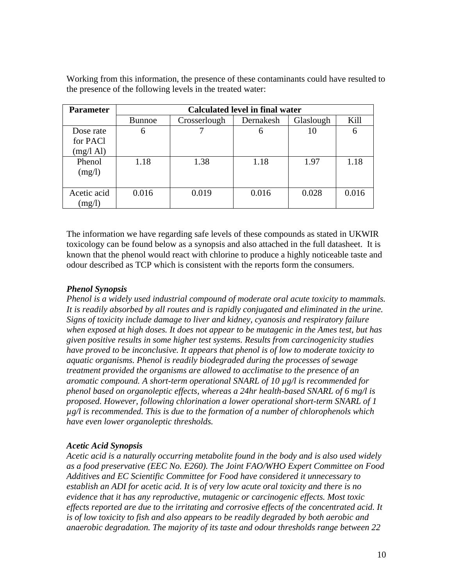| <b>Parameter</b>      | <b>Calculated level in final water</b> |              |           |           |       |  |
|-----------------------|----------------------------------------|--------------|-----------|-----------|-------|--|
|                       | <b>Bunnoe</b>                          | Crosserlough | Dernakesh | Glaslough | Kill  |  |
| Dose rate             | 6                                      |              | 6         | 10        | 6     |  |
| for PAC1              |                                        |              |           |           |       |  |
| $(mg/l \text{ Al})$   |                                        |              |           |           |       |  |
| Phenol<br>(mg/l)      | 1.18                                   | 1.38         | 1.18      | 1.97      | 1.18  |  |
|                       |                                        |              |           |           |       |  |
| Acetic acid<br>(mg/l) | 0.016                                  | 0.019        | 0.016     | 0.028     | 0.016 |  |

Working from this information, the presence of these contaminants could have resulted to the presence of the following levels in the treated water:

The information we have regarding safe levels of these compounds as stated in UKWIR toxicology can be found below as a synopsis and also attached in the full datasheet. It is known that the phenol would react with chlorine to produce a highly noticeable taste and odour described as TCP which is consistent with the reports form the consumers.

## *Phenol Synopsis*

*Phenol is a widely used industrial compound of moderate oral acute toxicity to mammals. It is readily absorbed by all routes and is rapidly conjugated and eliminated in the urine. Signs of toxicity include damage to liver and kidney, cyanosis and respiratory failure when exposed at high doses. It does not appear to be mutagenic in the Ames test, but has given positive results in some higher test systems. Results from carcinogenicity studies have proved to be inconclusive. It appears that phenol is of low to moderate toxicity to aquatic organisms. Phenol is readily biodegraded during the processes of sewage treatment provided the organisms are allowed to acclimatise to the presence of an aromatic compound. A short-term operational SNARL of 10 µg/l is recommended for phenol based on organoleptic effects, whereas a 24hr health-based SNARL of 6 mg/l is proposed. However, following chlorination a lower operational short-term SNARL of 1 µg/l is recommended. This is due to the formation of a number of chlorophenols which have even lower organoleptic thresholds.* 

#### *Acetic Acid Synopsis*

*Acetic acid is a naturally occurring metabolite found in the body and is also used widely as a food preservative (EEC No. E260). The Joint FAO/WHO Expert Committee on Food Additives and EC Scientific Committee for Food have considered it unnecessary to establish an ADI for acetic acid. It is of very low acute oral toxicity and there is no evidence that it has any reproductive, mutagenic or carcinogenic effects. Most toxic effects reported are due to the irritating and corrosive effects of the concentrated acid. It is of low toxicity to fish and also appears to be readily degraded by both aerobic and anaerobic degradation. The majority of its taste and odour thresholds range between 22*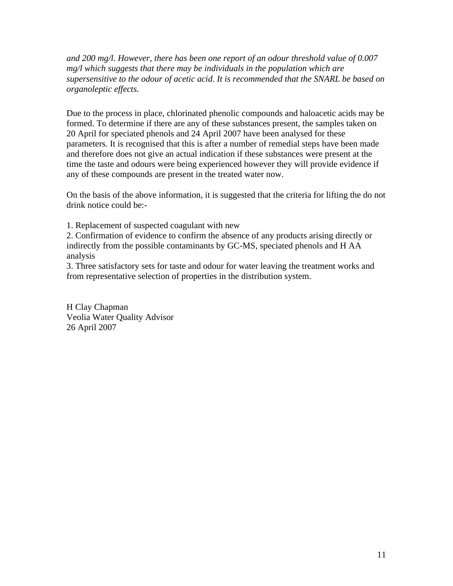*and 200 mg/l. However, there has been one report of an odour threshold value of 0.007 mg/l which suggests that there may be individuals in the population which are supersensitive to the odour of acetic acid. It is recommended that the SNARL be based on organoleptic effects.*

Due to the process in place, chlorinated phenolic compounds and haloacetic acids may be formed. To determine if there are any of these substances present, the samples taken on 20 April for speciated phenols and 24 April 2007 have been analysed for these parameters. It is recognised that this is after a number of remedial steps have been made and therefore does not give an actual indication if these substances were present at the time the taste and odours were being experienced however they will provide evidence if any of these compounds are present in the treated water now.

On the basis of the above information, it is suggested that the criteria for lifting the do not drink notice could be:-

1. Replacement of suspected coagulant with new

2. Confirmation of evidence to confirm the absence of any products arising directly or indirectly from the possible contaminants by GC-MS, speciated phenols and H AA analysis

3. Three satisfactory sets for taste and odour for water leaving the treatment works and from representative selection of properties in the distribution system.

H Clay Chapman Veolia Water Quality Advisor 26 April 2007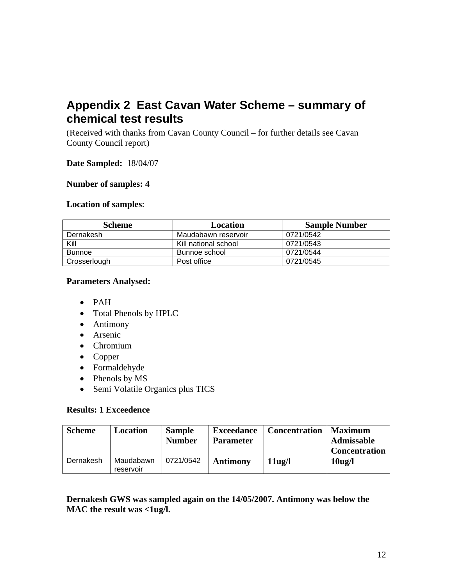# **Appendix 2 East Cavan Water Scheme – summary of chemical test results**

(Received with thanks from Cavan County Council – for further details see Cavan County Council report)

#### **Date Sampled:** 18/04/07

#### **Number of samples: 4**

#### **Location of samples**:

| <b>Scheme</b> | Location             | <b>Sample Number</b> |
|---------------|----------------------|----------------------|
| Dernakesh     | Maudabawn reservoir  | 0721/0542            |
| Kill          | Kill national school | 0721/0543            |
| <b>Bunnoe</b> | Bunnoe school        | 0721/0544            |
| Crosserlough  | Post office          | 0721/0545            |

## **Parameters Analysed:**

- PAH
- Total Phenols by HPLC
- Antimony
- Arsenic
- Chromium
- Copper
- Formaldehyde
- Phenols by MS
- Semi Volatile Organics plus TICS

#### **Results: 1 Exceedence**

| <b>Scheme</b> | Location               | <b>Sample</b><br><b>Number</b> | <b>Exceedance</b><br><b>Parameter</b> | <b>Concentration</b> | <b>Maximum</b><br><b>Admissable</b><br><b>Concentration</b> |
|---------------|------------------------|--------------------------------|---------------------------------------|----------------------|-------------------------------------------------------------|
| Dernakesh     | Maudabawn<br>reservoir | 0721/0542                      | <b>Antimony</b>                       | $11u$ g/l            | 10 <sub>ug</sub> /l                                         |

**Dernakesh GWS was sampled again on the 14/05/2007. Antimony was below the MAC the result was <1ug/l.**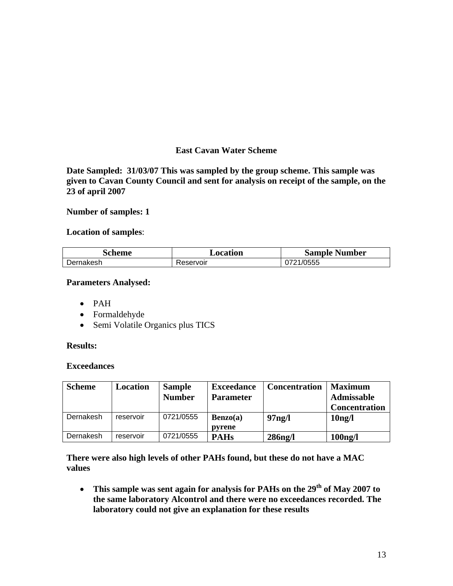## **East Cavan Water Scheme**

**Date Sampled: 31/03/07 This was sampled by the group scheme. This sample was given to Cavan County Council and sent for analysis on receipt of the sample, on the 23 of april 2007**

**Number of samples: 1**

#### **Location of samples**:

| Scheme    | Location  | <b>Sample Number</b> |
|-----------|-----------|----------------------|
| Dernakesh | Reservoir | 0721/0555            |

#### **Parameters Analysed:**

- PAH
- Formaldehyde
- Semi Volatile Organics plus TICS

#### **Results:**

#### **Exceedances**

| <b>Scheme</b> | <b>Location</b> | <b>Sample</b><br><b>Number</b> | <b>Exceedance</b><br><b>Parameter</b> | <b>Concentration</b> | <b>Maximum</b><br><b>Admissable</b><br><b>Concentration</b> |
|---------------|-----------------|--------------------------------|---------------------------------------|----------------------|-------------------------------------------------------------|
| Dernakesh     | reservoir       | 0721/0555                      | Benzo(a)<br>pyrene                    | 97 <sub>ng</sub> /l  | 10 <sub>ng</sub> /l                                         |
| Dernakesh     | reservoir       | 0721/0555                      | <b>PAHs</b>                           | $286$ ng/l           | $100$ ng/l                                                  |

**There were also high levels of other PAHs found, but these do not have a MAC values**

• This sample was sent again for analysis for PAHs on the 29<sup>th</sup> of May 2007 to **the same laboratory Alcontrol and there were no exceedances recorded. The laboratory could not give an explanation for these results**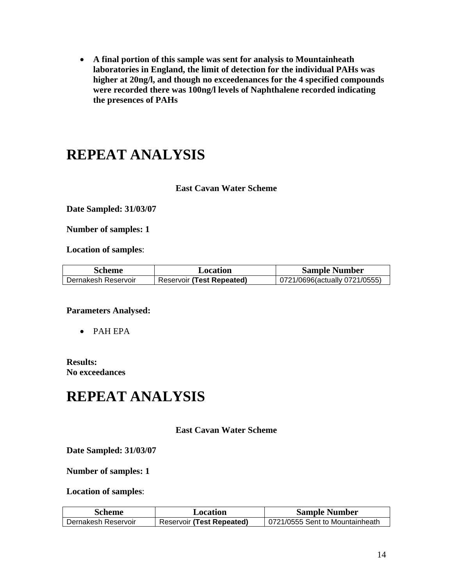**A final portion of this sample was sent for analysis to Mountainheath laboratories in England, the limit of detection for the individual PAHs was higher at 20ng/l, and though no exceedenances for the 4 specified compounds were recorded there was 100ng/l levels of Naphthalene recorded indicating the presences of PAHs**

# **REPEAT ANALYSIS**

#### **East Cavan Water Scheme**

**Date Sampled: 31/03/07**

**Number of samples: 1**

**Location of samples**:

| Scheme              | Location                         | <b>Sample Number</b>          |
|---------------------|----------------------------------|-------------------------------|
| Dernakesh Reservoir | <b>Reservoir (Test Repeated)</b> | 0721/0696(actually 0721/0555) |

#### **Parameters Analysed:**

PAH EPA

#### **Results: No exceedances**

# **REPEAT ANALYSIS**

#### **East Cavan Water Scheme**

#### **Date Sampled: 31/03/07**

#### **Number of samples: 1**

#### **Location of samples**:

| Scheme              | Location                         | <b>Sample Number</b>            |
|---------------------|----------------------------------|---------------------------------|
| Dernakesh Reservoir | <b>Reservoir (Test Repeated)</b> | 0721/0555 Sent to Mountainheath |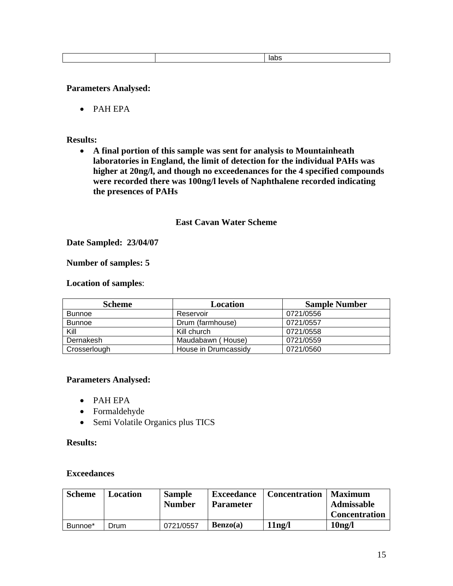|--|

#### **Parameters Analysed:**

PAH EPA

#### **Results:**

 **A final portion of this sample was sent for analysis to Mountainheath laboratories in England, the limit of detection for the individual PAHs was higher at 20ng/l, and though no exceedenances for the 4 specified compounds were recorded there was 100ng/l levels of Naphthalene recorded indicating the presences of PAHs**

#### **East Cavan Water Scheme**

#### **Date Sampled: 23/04/07**

#### **Number of samples: 5**

#### **Location of samples**:

| <b>Scheme</b> | Location             | <b>Sample Number</b> |
|---------------|----------------------|----------------------|
| <b>Bunnoe</b> | Reservoir            | 0721/0556            |
| <b>Bunnoe</b> | Drum (farmhouse)     | 0721/0557            |
| Kill          | Kill church          | 0721/0558            |
| Dernakesh     | Maudabawn (House)    | 0721/0559            |
| Crosserlough  | House in Drumcassidy | 0721/0560            |

#### **Parameters Analysed:**

- PAH EPA
- Formaldehyde
- Semi Volatile Organics plus TICS

#### **Results:**

#### **Exceedances**

| <b>Scheme</b> | Location | <b>Sample</b><br><b>Number</b> | <b>Exceedance</b><br><b>Parameter</b> | <b>Concentration</b> | <b>Maximum</b><br><b>Admissable</b><br><b>Concentration</b> |
|---------------|----------|--------------------------------|---------------------------------------|----------------------|-------------------------------------------------------------|
| Bunnoe*       | Drum     | 0721/0557                      | Benzo(a)                              | 11ng/l               | 10 <sub>ng</sub> /l                                         |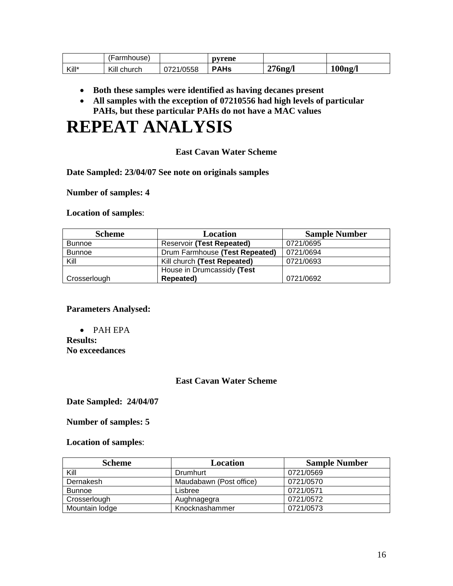|       | 'Farmhouse) |           | pyrene      |            |            |
|-------|-------------|-----------|-------------|------------|------------|
| Kill* | Kill church | 0721/0558 | <b>PAHs</b> | $276$ ng/l | $100$ ng/l |

- **Both these samples were identified as having decanes present**
- **All samples with the exception of 07210556 had high levels of particular PAHs, but these particular PAHs do not have a MAC values**

# **REPEAT ANALYSIS**

#### **East Cavan Water Scheme**

**Date Sampled: 23/04/07 See note on originals samples**

**Number of samples: 4**

**Location of samples**:

| <b>Scheme</b> | Location                       | <b>Sample Number</b> |
|---------------|--------------------------------|----------------------|
| <b>Bunnoe</b> | Reservoir (Test Repeated)      | 0721/0695            |
| <b>Bunnoe</b> | Drum Farmhouse (Test Repeated) | 0721/0694            |
| Kill          | Kill church (Test Repeated)    | 0721/0693            |
|               | House in Drumcassidy (Test     |                      |
| Crosserlough  | Repeated)                      | 0721/0692            |

**Parameters Analysed:**

 PAH EPA **Results: No exceedances**

#### **East Cavan Water Scheme**

**Date Sampled: 24/04/07**

#### **Number of samples: 5**

**Location of samples**:

| <b>Scheme</b>  | Location                | <b>Sample Number</b> |
|----------------|-------------------------|----------------------|
| Kill           | Drumhurt                | 0721/0569            |
| Dernakesh      | Maudabawn (Post office) | 0721/0570            |
| <b>Bunnoe</b>  | Lisbree                 | 0721/0571            |
| Crosserlough   | Aughnagegra             | 0721/0572            |
| Mountain lodge | Knocknashammer          | 0721/0573            |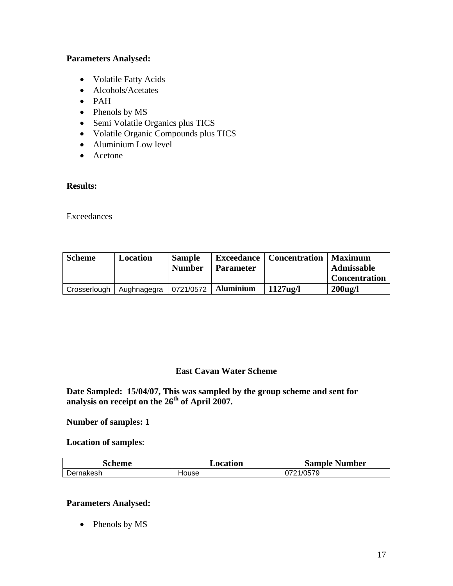#### **Parameters Analysed:**

- Volatile Fatty Acids
- Alcohols/Acetates
- PAH
- Phenols by MS
- Semi Volatile Organics plus TICS
- Volatile Organic Compounds plus TICS
- Aluminium Low level
- Acetone

#### **Results:**

Exceedances

| <b>Scheme</b> | Location    | <b>Sample</b><br><b>Number</b> | <b>Parameter</b> | <b>Exceedance   Concentration   Maximum</b> | <b>Admissable</b>    |
|---------------|-------------|--------------------------------|------------------|---------------------------------------------|----------------------|
|               |             |                                |                  |                                             | <b>Concentration</b> |
| Crosserlough  | Aughnagegra | 0721/0572                      | <b>Aluminium</b> | $1127$ ug/l                                 | $200$ ug/l           |

#### **East Cavan Water Scheme**

**Date Sampled: 15/04/07, This was sampled by the group scheme and sent for analysis on receipt on the 26th of April 2007.**

#### **Number of samples: 1**

**Location of samples**:

| <b>Scheme</b> | Location | <b>Sample Number</b> |
|---------------|----------|----------------------|
| Dernakesh     | House    | 0721/0579            |

#### **Parameters Analysed:**

• Phenols by MS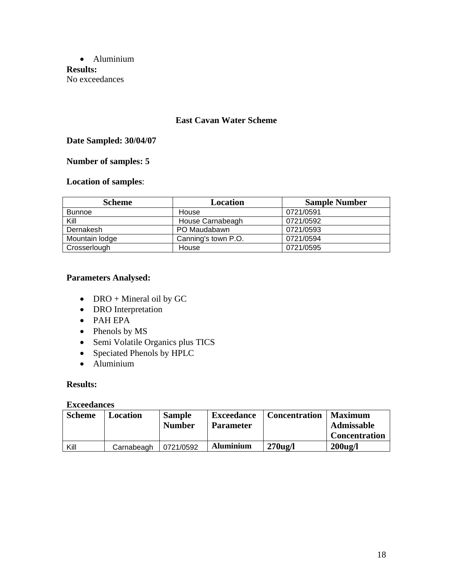Aluminium **Results:** No exceedances

#### **East Cavan Water Scheme**

## **Date Sampled: 30/04/07**

## **Number of samples: 5**

# **Location of samples**:

| <b>Scheme</b>  | Location            | <b>Sample Number</b> |
|----------------|---------------------|----------------------|
| <b>Bunnoe</b>  | House               | 0721/0591            |
| Kill           | House Carnabeagh    | 0721/0592            |
| Dernakesh      | PO Maudabawn        | 0721/0593            |
| Mountain lodge | Canning's town P.O. | 0721/0594            |
| Crosserlough   | House               | 0721/0595            |

#### **Parameters Analysed:**

- DRO + Mineral oil by GC
- DRO Interpretation
- PAH EPA
- Phenols by MS
- Semi Volatile Organics plus TICS
- Speciated Phenols by HPLC
- Aluminium

#### **Results:**

#### **Exceedances**

| <b>Scheme</b> | Location   | <b>Sample</b><br><b>Number</b> | <b>Exceedance</b><br><b>Parameter</b> | <b>Concentration</b> | Maximum<br>Admissable |
|---------------|------------|--------------------------------|---------------------------------------|----------------------|-----------------------|
|               |            |                                |                                       |                      | <b>Concentration</b>  |
| Kill          | Carnabeagh | 0721/0592                      | <b>Aluminium</b>                      | $270u$ g/l           | $200$ ug/l            |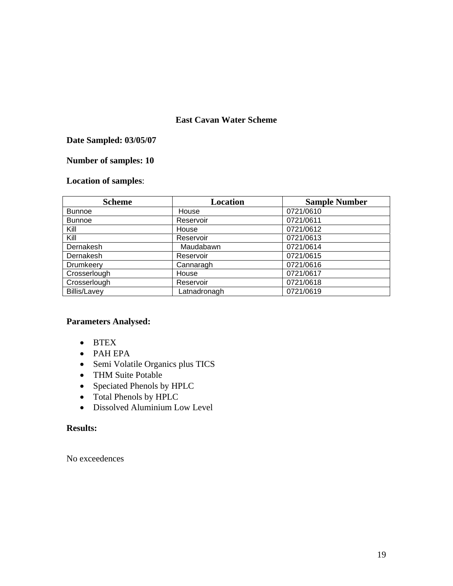## **East Cavan Water Scheme**

## **Date Sampled: 03/05/07**

# **Number of samples: 10**

# **Location of samples**:

| <b>Scheme</b>       | <b>Location</b> | <b>Sample Number</b> |
|---------------------|-----------------|----------------------|
| <b>Bunnoe</b>       | House           | 0721/0610            |
| <b>Bunnoe</b>       | Reservoir       | 0721/0611            |
| Kill                | House           | 0721/0612            |
| Kill                | Reservoir       | 0721/0613            |
| Dernakesh           | Maudabawn       | 0721/0614            |
| Dernakesh           | Reservoir       | 0721/0615            |
| Drumkeery           | Cannaragh       | 0721/0616            |
| Crosserlough        | House           | 0721/0617            |
| Crosserlough        | Reservoir       | 0721/0618            |
| <b>Billis/Lavey</b> | Latnadronagh    | 0721/0619            |

#### **Parameters Analysed:**

- BTEX
- PAH EPA
- Semi Volatile Organics plus TICS
- THM Suite Potable
- Speciated Phenols by HPLC
- Total Phenols by HPLC
- Dissolved Aluminium Low Level

#### **Results:**

No exceedences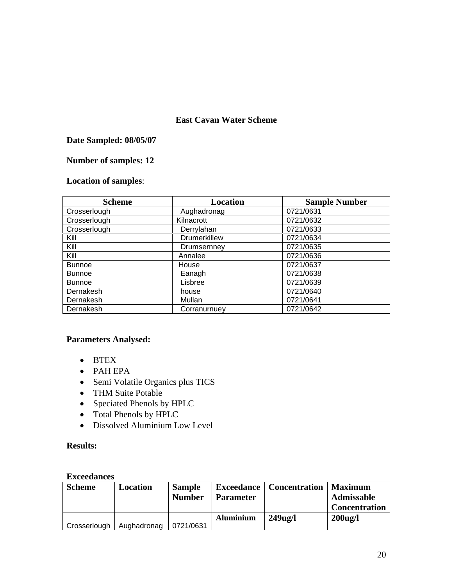## **East Cavan Water Scheme**

## **Date Sampled: 08/05/07**

# **Number of samples: 12**

# **Location of samples**:

| <b>Scheme</b> | <b>Location</b>     | <b>Sample Number</b> |
|---------------|---------------------|----------------------|
| Crosserlough  | Aughadronag         | 0721/0631            |
| Crosserlough  | Kilnacrott          | 0721/0632            |
| Crosserlough  | Derrylahan          | 0721/0633            |
| Kill          | <b>Drumerkillew</b> | 0721/0634            |
| Kill          | Drumsernney         | 0721/0635            |
| Kill          | Annalee             | 0721/0636            |
| <b>Bunnoe</b> | House               | 0721/0637            |
| <b>Bunnoe</b> | Eanagh              | 0721/0638            |
| <b>Bunnoe</b> | Lisbree             | 0721/0639            |
| Dernakesh     | house               | 0721/0640            |
| Dernakesh     | Mullan              | 0721/0641            |
| Dernakesh     | Corranurnuey        | 0721/0642            |

# **Parameters Analysed:**

- BTEX
- PAH EPA
- Semi Volatile Organics plus TICS
- THM Suite Potable
- Speciated Phenols by HPLC
- Total Phenols by HPLC
- Dissolved Aluminium Low Level

## **Results:**

#### **Exceedances**

| <b>Scheme</b> | Location    | <b>Sample</b><br><b>Number</b> | <b>Parameter</b> | <b>Exceedance   Concentration  </b> | Maximum<br><b>Admissable</b><br><b>Concentration</b> |
|---------------|-------------|--------------------------------|------------------|-------------------------------------|------------------------------------------------------|
| Crosserlough  | Aughadronag | 0721/0631                      | <b>Aluminium</b> | $249$ ug/l                          | $200$ ug/l                                           |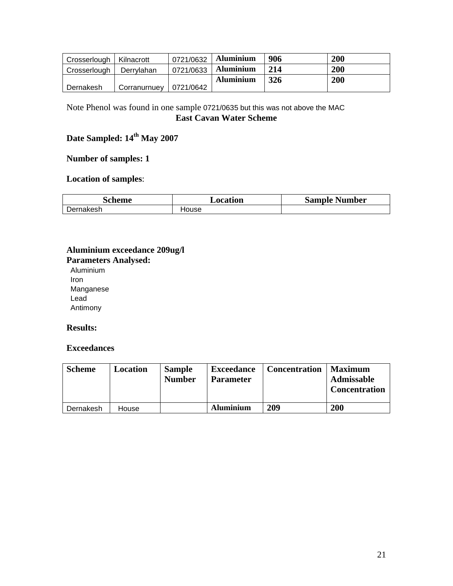| Crosserlough   Kilnacrott |              | 0721/0632 | <b>Aluminium</b> | 906        | 200 |
|---------------------------|--------------|-----------|------------------|------------|-----|
| Crosserlough              | Derrylahan   | 0721/0633 | <b>Aluminium</b> | 214        | 200 |
|                           |              |           | <b>Aluminium</b> | <b>326</b> | 200 |
| Dernakesh                 | Corranurnuev | 0721/0642 |                  |            |     |

# Note Phenol was found in one sample 0721/0635 but this was not above the MAC **East Cavan Water Scheme**

# Date Sampled:  $14^{th}$  May 2007

## **Number of samples: 1**

## **Location of samples**:

| scheme    | $\bm{\mathsf{\scriptstyle \omega} }$ ocation | <b>Sample Number</b> |
|-----------|----------------------------------------------|----------------------|
| Dernakesh | House                                        |                      |

# **Aluminium exceedance 209ug/l Parameters Analysed:**

Aluminium Iron Manganese Lead Antimony

#### **Results:**

#### **Exceedances**

| <b>Scheme</b> | Location | <b>Sample</b><br><b>Number</b> | <b>Exceedance</b><br><b>Parameter</b> | <b>Concentration</b> | <b>Maximum</b><br><b>Admissable</b><br><b>Concentration</b> |
|---------------|----------|--------------------------------|---------------------------------------|----------------------|-------------------------------------------------------------|
| Dernakesh     | House    |                                | <b>Aluminium</b>                      | 209                  | 200                                                         |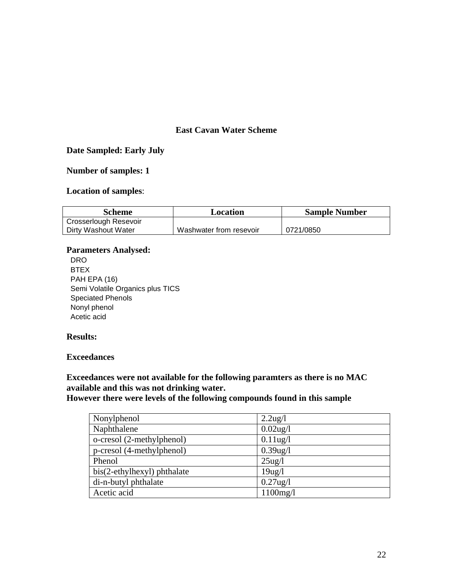#### **East Cavan Water Scheme**

#### **Date Sampled: Early July**

#### **Number of samples: 1**

# **Location of samples**:

| Scheme                       | Location                | <b>Sample Number</b> |  |
|------------------------------|-------------------------|----------------------|--|
| <b>Crosserlough Resevoir</b> |                         |                      |  |
| Dirty Washout Water          | Washwater from resevoir | 0721/0850            |  |

#### **Parameters Analysed:**

DRO BTEX PAH EPA (16) Semi Volatile Organics plus TICS Speciated Phenols Nonyl phenol Acetic acid

#### **Results:**

#### **Exceedances**

**Exceedances were not available for the following paramters as there is no MAC available and this was not drinking water.**

**However there were levels of the following compounds found in this sample**

| Nonylphenol                 | $2.2\text{ug}/l$ |
|-----------------------------|------------------|
| Naphthalene                 | $0.02$ ug/l      |
| o-cresol (2-methylphenol)   | $0.11$ ug/l      |
| p-cresol (4-methylphenol)   | $0.39$ ug/l      |
| Phenol                      | $25\text{ug}/l$  |
| bis(2-ethylhexyl) phthalate | $19$ ug/l        |
| di-n-butyl phthalate        | $0.27$ ug/l      |
| Acetic acid                 | 1100mg/l         |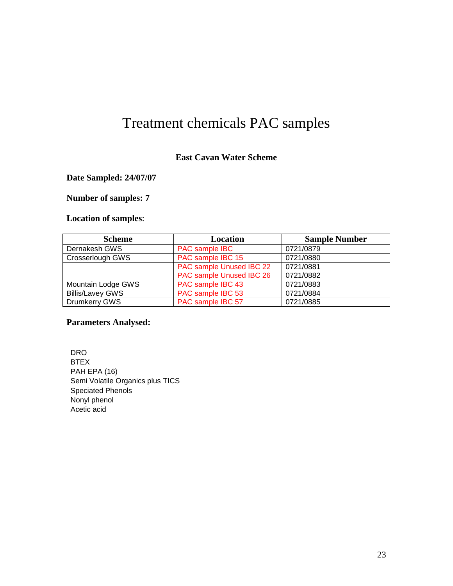# Treatment chemicals PAC samples

#### **East Cavan Water Scheme**

## **Date Sampled: 24/07/07**

## **Number of samples: 7**

# **Location of samples**:

| <b>Scheme</b>           | Location                 | <b>Sample Number</b> |
|-------------------------|--------------------------|----------------------|
| Dernakesh GWS           | PAC sample IBC           | 0721/0879            |
| Crosserlough GWS        | PAC sample IBC 15        | 0721/0880            |
|                         | PAC sample Unused IBC 22 | 0721/0881            |
|                         | PAC sample Unused IBC 26 | 0721/0882            |
| Mountain Lodge GWS      | PAC sample IBC 43        | 0721/0883            |
| <b>Billis/Lavey GWS</b> | PAC sample IBC 53        | 0721/0884            |
| Drumkerry GWS           | PAC sample IBC 57        | 0721/0885            |

## **Parameters Analysed:**

DRO BTEX PAH EPA (16) Semi Volatile Organics plus TICS Speciated Phenols Nonyl phenol Acetic acid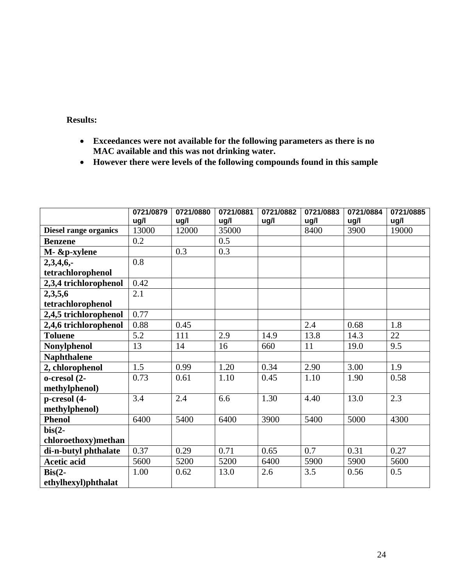# **Results:**

- **Exceedances were not available for the following parameters as there is no MAC available and this was not drinking water.**
- **However there were levels of the following compounds found in this sample**

|                          | 0721/0879 | 0721/0880 | 0721/0881 | 0721/0882 | 0721/0883 | 0721/0884 | 0721/0885 |
|--------------------------|-----------|-----------|-----------|-----------|-----------|-----------|-----------|
|                          | ug/l      | ug/l      | ug/l      | ug/l      | ug/l      | ug/l      | ug/l      |
| Diesel range organics    | 13000     | 12000     | 35000     |           | 8400      | 3900      | 19000     |
| <b>Benzene</b>           | 0.2       |           | 0.5       |           |           |           |           |
| M- &p-xylene             |           | 0.3       | 0.3       |           |           |           |           |
| 2,3,4,6,                 | 0.8       |           |           |           |           |           |           |
| tetrachlorophenol        |           |           |           |           |           |           |           |
| 2,3,4 trichlorophenol    | 0.42      |           |           |           |           |           |           |
| 2,3,5,6                  | 2.1       |           |           |           |           |           |           |
| tetrachlorophenol        |           |           |           |           |           |           |           |
| 2,4,5 trichlorophenol    | 0.77      |           |           |           |           |           |           |
| 2,4,6 trichlorophenol    | 0.88      | 0.45      |           |           | 2.4       | 0.68      | 1.8       |
| <b>Toluene</b>           | 5.2       | 111       | 2.9       | 14.9      | 13.8      | 14.3      | 22        |
| <b>Nonylphenol</b>       | 13        | 14        | 16        | 660       | 11        | 19.0      | 9.5       |
| <b>Naphthalene</b>       |           |           |           |           |           |           |           |
| 2, chlorophenol          | 1.5       | 0.99      | 1.20      | 0.34      | 2.90      | 3.00      | 1.9       |
| o-cresol (2-             | 0.73      | 0.61      | 1.10      | 0.45      | 1.10      | 1.90      | 0.58      |
| methylphenol)            |           |           |           |           |           |           |           |
| p-cresol (4-             | 3.4       | 2.4       | 6.6       | 1.30      | 4.40      | 13.0      | 2.3       |
| methylphenol)            |           |           |           |           |           |           |           |
| <b>Phenol</b>            | 6400      | 5400      | 6400      | 3900      | 5400      | 5000      | 4300      |
| $bis(2-$                 |           |           |           |           |           |           |           |
| chloroethoxy)methan      |           |           |           |           |           |           |           |
| di-n-butyl phthalate     | 0.37      | 0.29      | 0.71      | 0.65      | 0.7       | 0.31      | 0.27      |
| <b>Acetic acid</b>       | 5600      | 5200      | 5200      | 6400      | 5900      | 5900      | 5600      |
| $\operatorname{Bis}(2-)$ | 1.00      | 0.62      | 13.0      | 2.6       | 3.5       | 0.56      | 0.5       |
| ethylhexyl)phthalat      |           |           |           |           |           |           |           |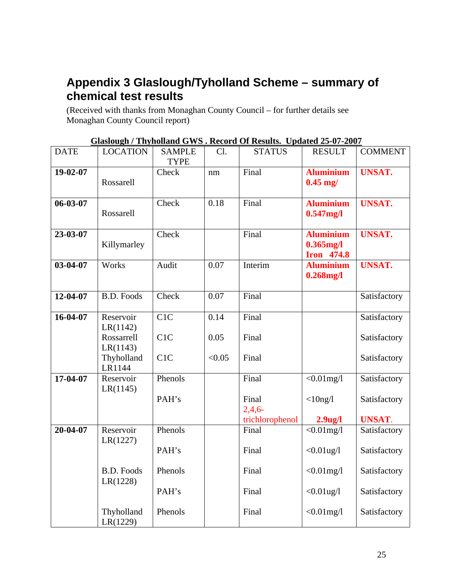# **Appendix 3 Glaslough/Tyholland Scheme – summary of chemical test results**

(Received with thanks from Monaghan County Council – for further details see Monaghan County Council report)

|                |                               |                              |                   | <u>Glasiough / Thynohand Gws : Record Of Results. Opdated 23-07-2007</u> |                                                       |                |
|----------------|-------------------------------|------------------------------|-------------------|--------------------------------------------------------------------------|-------------------------------------------------------|----------------|
| <b>DATE</b>    | <b>LOCATION</b>               | <b>SAMPLE</b><br><b>TYPE</b> | Cl.               | <b>STATUS</b>                                                            | <b>RESULT</b>                                         | <b>COMMENT</b> |
| 19-02-07       | Rossarell                     | Check                        | nm                | Final                                                                    | <b>Aluminium</b><br>$0.45$ mg/                        | <b>UNSAT.</b>  |
| 06-03-07       | Rossarell                     | Check                        | 0.18              | Final                                                                    | <b>Aluminium</b><br>$0.547$ mg/l                      | <b>UNSAT.</b>  |
| 23-03-07       | Killymarley                   | Check                        |                   | Final                                                                    | <b>Aluminium</b><br>$0.365$ mg/l<br><b>Iron</b> 474.8 | <b>UNSAT.</b>  |
| 03-04-07       | Works                         | Audit                        | $\overline{0.07}$ | Interim                                                                  | <b>Aluminium</b><br>$0.268$ mg/l                      | <b>UNSAT.</b>  |
| 12-04-07       | <b>B.D. Foods</b>             | Check                        | $\overline{0.07}$ | Final                                                                    |                                                       | Satisfactory   |
| 16-04-07       | Reservoir<br>LR(1142)         | C1C                          | 0.14              | Final                                                                    |                                                       | Satisfactory   |
|                | Rossarrell<br>LR(1143)        | C1C                          | 0.05              | Final                                                                    |                                                       | Satisfactory   |
|                | Thyholland<br>LR1144          | C1C                          | < 0.05            | Final                                                                    |                                                       | Satisfactory   |
| 17-04-07       | Reservoir<br>LR(1145)         | Phenols                      |                   | Final                                                                    | $< 0.01$ mg/l                                         | Satisfactory   |
|                |                               | PAH's                        |                   | Final<br>2,4,6                                                           | $<$ 10ng/l                                            | Satisfactory   |
|                |                               |                              |                   | trichlorophenol                                                          | $2.9$ ug/l                                            | <b>UNSAT.</b>  |
| $20 - 04 - 07$ | Reservoir<br>LR(1227)         | Phenols                      |                   | Final                                                                    | $< 0.01$ mg/l                                         | Satisfactory   |
|                |                               | PAH's                        |                   | Final                                                                    | $<0.01$ ug/l                                          | Satisfactory   |
|                | <b>B.D. Foods</b><br>LR(1228) | Phenols                      |                   | Final                                                                    | $< 0.01$ mg/l                                         | Satisfactory   |
|                |                               | PAH's                        |                   | Final                                                                    | $<0.01$ ug/l                                          | Satisfactory   |
|                | Thyholland<br>LR(1229)        | Phenols                      |                   | Final                                                                    | $< 0.01$ mg/l                                         | Satisfactory   |

**Glaslough / Thyholland GWS . Record Of Results. Updated 25-07-2007**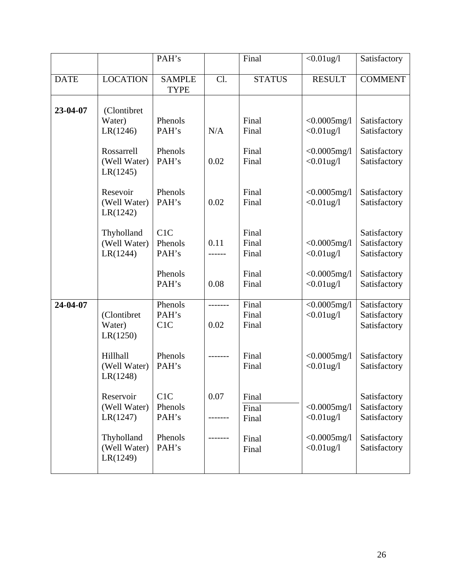|             |                                        | PAH's                        |                 | Final                   | $<0.01$ ug/l                    | Satisfactory                                 |
|-------------|----------------------------------------|------------------------------|-----------------|-------------------------|---------------------------------|----------------------------------------------|
| <b>DATE</b> | <b>LOCATION</b>                        | <b>SAMPLE</b><br><b>TYPE</b> | Cl.             | <b>STATUS</b>           | <b>RESULT</b>                   | <b>COMMENT</b>                               |
| 23-04-07    | (Clontibret)<br>Water)                 | Phenols                      |                 | Final                   | $< 0.0005$ mg/l                 | Satisfactory                                 |
|             | LR(1246)                               | PAH's                        | N/A             | Final                   | $<0.01$ ug/l                    | Satisfactory                                 |
|             | Rossarrell<br>(Well Water)<br>LR(1245) | Phenols<br>PAH's             | 0.02            | Final<br>Final          | $< 0.0005$ mg/l<br>$<0.01$ ug/l | Satisfactory<br>Satisfactory                 |
|             | Resevoir<br>(Well Water)<br>LR(1242)   | Phenols<br>PAH's             | 0.02            | Final<br>Final          | $< 0.0005$ mg/l<br>$<0.01$ ug/l | Satisfactory<br>Satisfactory                 |
|             | Thyholland<br>(Well Water)<br>LR(1244) | C1C<br>Phenols<br>PAH's      | 0.11            | Final<br>Final<br>Final | $< 0.0005$ mg/l<br>$<0.01$ ug/l | Satisfactory<br>Satisfactory<br>Satisfactory |
|             |                                        | Phenols<br>PAH's             | 0.08            | Final<br>Final          | $< 0.0005$ mg/l<br>$<0.01$ ug/l | Satisfactory<br>Satisfactory                 |
| 24-04-07    | (Clontibret<br>Water)<br>LR(1250)      | Phenols<br>PAH's<br>C1C      | -------<br>0.02 | Final<br>Final<br>Final | $< 0.0005$ mg/l<br>$<0.01$ ug/l | Satisfactory<br>Satisfactory<br>Satisfactory |
|             | Hillhall<br>(Well Water)<br>LR(1248)   | Phenols<br>PAH's             |                 | Final<br>Final          | $< 0.0005$ mg/l<br>$<0.01$ ug/l | Satisfactory<br>Satisfactory                 |
|             | Reservoir<br>(Well Water)<br>LR(1247)  | C1C<br>Phenols<br>PAH's      | 0.07            | Final<br>Final<br>Final | $< 0.0005$ mg/l<br>$<0.01$ ug/l | Satisfactory<br>Satisfactory<br>Satisfactory |
|             | Thyholland<br>(Well Water)<br>LR(1249) | Phenols<br>PAH's             |                 | Final<br>Final          | $< 0.0005$ mg/l<br>$<0.01$ ug/l | Satisfactory<br>Satisfactory                 |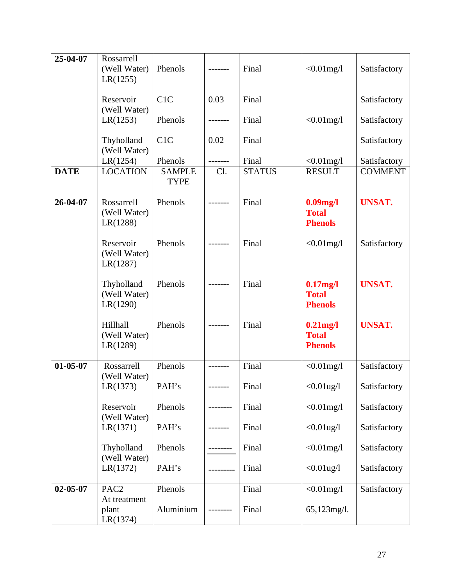| 25-04-07       | Rossarrell<br>(Well Water)<br>LR(1255) | Phenols                      | -------  | Final         | $< 0.01$ mg/l                                 | Satisfactory   |
|----------------|----------------------------------------|------------------------------|----------|---------------|-----------------------------------------------|----------------|
|                | Reservoir<br>(Well Water)              | C1C                          | 0.03     | Final         |                                               | Satisfactory   |
|                | LR(1253)                               | Phenols                      | -------- | Final         | $<0.01$ mg/l                                  | Satisfactory   |
|                | Thyholland<br>(Well Water)             | C1C                          | 0.02     | Final         |                                               | Satisfactory   |
|                | LR(1254)                               | Phenols                      | -------- | Final         | $<0.01$ mg/l                                  | Satisfactory   |
| <b>DATE</b>    | <b>LOCATION</b>                        | <b>SAMPLE</b><br><b>TYPE</b> | Cl.      | <b>STATUS</b> | <b>RESULT</b>                                 | <b>COMMENT</b> |
| 26-04-07       | Rossarrell<br>(Well Water)<br>LR(1288) | Phenols                      | -------  | Final         | $0.09$ mg/l<br><b>Total</b><br><b>Phenols</b> | <b>UNSAT.</b>  |
|                | Reservoir<br>(Well Water)<br>LR(1287)  | Phenols                      | -------  | Final         | $< 0.01$ mg/l                                 | Satisfactory   |
|                | Thyholland<br>(Well Water)<br>LR(1290) | Phenols                      | -------  | Final         | $0.17$ mg/l<br><b>Total</b><br><b>Phenols</b> | <b>UNSAT.</b>  |
|                | Hillhall<br>(Well Water)<br>LR(1289)   | Phenols                      |          | Final         | $0.21$ mg/l<br><b>Total</b><br><b>Phenols</b> | <b>UNSAT.</b>  |
| $01 - 05 - 07$ | Rossarrell                             | Phenols                      | -------- | Final         | $<0.01$ mg/l                                  | Satisfactory   |
|                | (Well Water)<br>LR(1373)               | PAH's                        | -------  | Final         | $< 0.01$ ug/l                                 | Satisfactory   |
|                | Reservoir<br>(Well Water)              | Phenols                      |          | Final         | $<0.01$ mg/l                                  | Satisfactory   |
|                | LR(1371)                               | PAH's                        | -------  | Final         | $<0.01$ ug/l                                  | Satisfactory   |
|                | Thyholland<br>(Well Water)             | Phenols                      |          | Final         | $< 0.01$ mg/l                                 | Satisfactory   |
|                | LR(1372)                               | PAH's                        |          | Final         | $<0.01$ ug/l                                  | Satisfactory   |
| $02 - 05 - 07$ | PAC <sub>2</sub><br>At treatment       | Phenols                      |          | Final         | $<0.01$ mg/l                                  | Satisfactory   |
|                | plant<br>LR(1374)                      | Aluminium                    |          | Final         | $65,123$ mg/l.                                |                |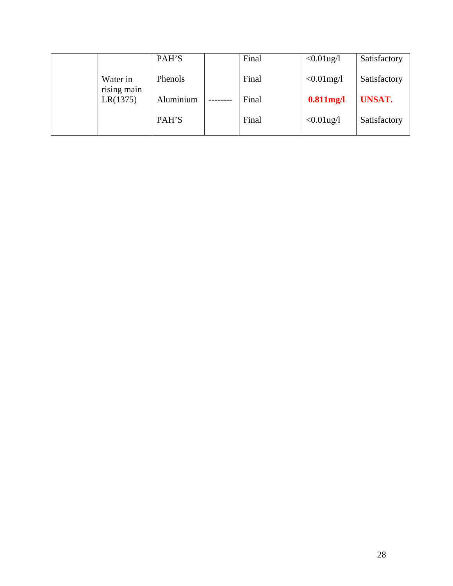|                         | PAH'S     | Final | $<0.01$ ug/l  | Satisfactory  |
|-------------------------|-----------|-------|---------------|---------------|
| Water in<br>rising main | Phenols   | Final | $< 0.01$ mg/l | Satisfactory  |
| LR(1375)                | Aluminium | Final | $0.811$ mg/l  | <b>UNSAT.</b> |
|                         | PAH'S     | Final | $<0.01$ ug/l  | Satisfactory  |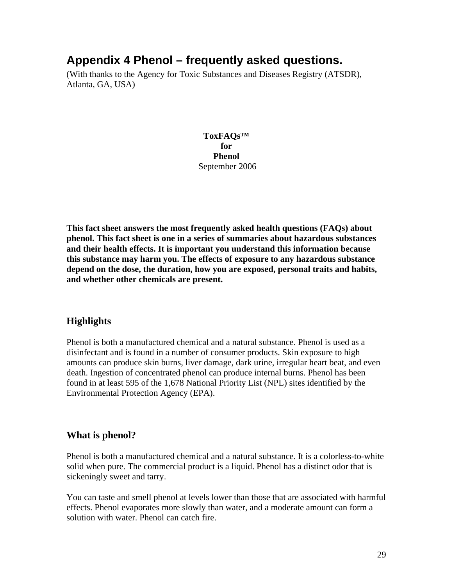# **Appendix 4 Phenol – frequently asked questions.**

(With thanks to the Agency for Toxic Substances and Diseases Registry (ATSDR), Atlanta, GA, USA)

> **ToxFAQs™ for Phenol** September 2006

**This fact sheet answers the most frequently asked health questions (FAQs) about phenol. This fact sheet is one in a series of summaries about hazardous substances and their health effects. It is important you understand this information because this substance may harm you. The effects of exposure to any hazardous substance depend on the dose, the duration, how you are exposed, personal traits and habits, and whether other chemicals are present.**

# **Highlights**

Phenol is both a manufactured chemical and a natural substance. Phenol is used as a disinfectant and is found in a number of consumer products. Skin exposure to high amounts can produce skin burns, liver damage, dark urine, irregular heart beat, and even death. Ingestion of concentrated phenol can produce internal burns. Phenol has been found in at least 595 of the 1,678 National Priority List (NPL) sites identified by the Environmental Protection Agency (EPA).

# **What is phenol?**

Phenol is both a manufactured chemical and a natural substance. It is a colorless-to-white solid when pure. The commercial product is a liquid. Phenol has a distinct odor that is sickeningly sweet and tarry.

You can taste and smell phenol at levels lower than those that are associated with harmful effects. Phenol evaporates more slowly than water, and a moderate amount can form a solution with water. Phenol can catch fire.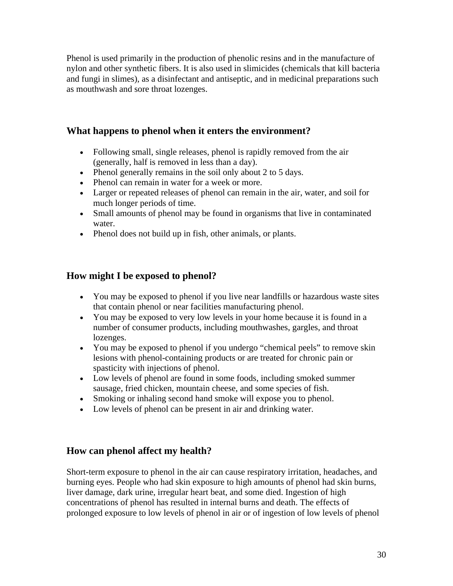Phenol is used primarily in the production of phenolic resins and in the manufacture of nylon and other synthetic fibers. It is also used in slimicides (chemicals that kill bacteria and fungi in slimes), as a disinfectant and antiseptic, and in medicinal preparations such as mouthwash and sore throat lozenges.

# **What happens to phenol when it enters the environment?**

- Following small, single releases, phenol is rapidly removed from the air (generally, half is removed in less than a day).
- Phenol generally remains in the soil only about 2 to 5 days.
- Phenol can remain in water for a week or more.
- Larger or repeated releases of phenol can remain in the air, water, and soil for much longer periods of time.
- Small amounts of phenol may be found in organisms that live in contaminated water.
- Phenol does not build up in fish, other animals, or plants.

# **How might I be exposed to phenol?**

- You may be exposed to phenol if you live near landfills or hazardous waste sites that contain phenol or near facilities manufacturing phenol.
- You may be exposed to very low levels in your home because it is found in a number of consumer products, including mouthwashes, gargles, and throat lozenges.
- You may be exposed to phenol if you undergo "chemical peels" to remove skin lesions with phenol-containing products or are treated for chronic pain or spasticity with injections of phenol.
- Low levels of phenol are found in some foods, including smoked summer sausage, fried chicken, mountain cheese, and some species of fish.
- Smoking or inhaling second hand smoke will expose you to phenol.
- Low levels of phenol can be present in air and drinking water.

# **How can phenol affect my health?**

Short-term exposure to phenol in the air can cause respiratory irritation, headaches, and burning eyes. People who had skin exposure to high amounts of phenol had skin burns, liver damage, dark urine, irregular heart beat, and some died. Ingestion of high concentrations of phenol has resulted in internal burns and death. The effects of prolonged exposure to low levels of phenol in air or of ingestion of low levels of phenol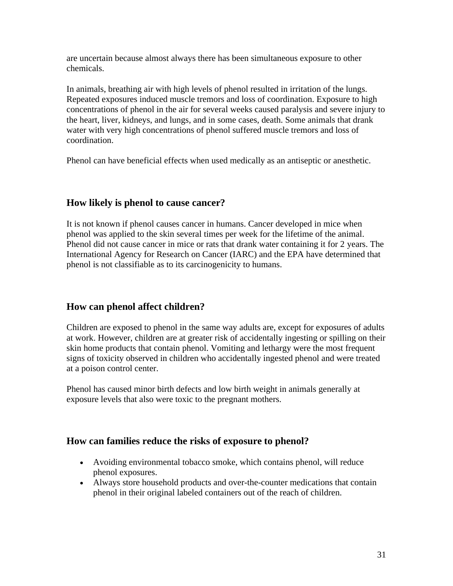are uncertain because almost always there has been simultaneous exposure to other chemicals.

In animals, breathing air with high levels of phenol resulted in irritation of the lungs. Repeated exposures induced muscle tremors and loss of coordination. Exposure to high concentrations of phenol in the air for several weeks caused paralysis and severe injury to the heart, liver, kidneys, and lungs, and in some cases, death. Some animals that drank water with very high concentrations of phenol suffered muscle tremors and loss of coordination.

Phenol can have beneficial effects when used medically as an antiseptic or anesthetic.

# **How likely is phenol to cause cancer?**

It is not known if phenol causes cancer in humans. Cancer developed in mice when phenol was applied to the skin several times per week for the lifetime of the animal. Phenol did not cause cancer in mice or rats that drank water containing it for 2 years. The International Agency for Research on Cancer (IARC) and the EPA have determined that phenol is not classifiable as to its carcinogenicity to humans.

# **How can phenol affect children?**

Children are exposed to phenol in the same way adults are, except for exposures of adults at work. However, children are at greater risk of accidentally ingesting or spilling on their skin home products that contain phenol. Vomiting and lethargy were the most frequent signs of toxicity observed in children who accidentally ingested phenol and were treated at a poison control center.

Phenol has caused minor birth defects and low birth weight in animals generally at exposure levels that also were toxic to the pregnant mothers.

# **How can families reduce the risks of exposure to phenol?**

- Avoiding environmental tobacco smoke, which contains phenol, will reduce phenol exposures.
- Always store household products and over-the-counter medications that contain phenol in their original labeled containers out of the reach of children.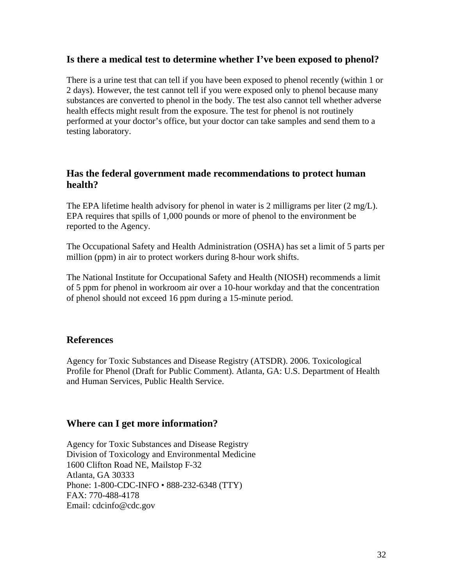## **Is there a medical test to determine whether I've been exposed to phenol?**

There is a urine test that can tell if you have been exposed to phenol recently (within 1 or 2 days). However, the test cannot tell if you were exposed only to phenol because many substances are converted to phenol in the body. The test also cannot tell whether adverse health effects might result from the exposure. The test for phenol is not routinely performed at your doctor's office, but your doctor can take samples and send them to a testing laboratory.

# **Has the federal government made recommendations to protect human health?**

The EPA lifetime health advisory for phenol in water is 2 milligrams per liter  $(2 \text{ mg/L})$ . EPA requires that spills of 1,000 pounds or more of phenol to the environment be reported to the Agency.

The Occupational Safety and Health Administration (OSHA) has set a limit of 5 parts per million (ppm) in air to protect workers during 8-hour work shifts.

The National Institute for Occupational Safety and Health (NIOSH) recommends a limit of 5 ppm for phenol in workroom air over a 10-hour workday and that the concentration of phenol should not exceed 16 ppm during a 15-minute period.

#### **References**

Agency for Toxic Substances and Disease Registry (ATSDR). 2006. Toxicological Profile for Phenol (Draft for Public Comment). Atlanta, GA: U.S. Department of Health and Human Services, Public Health Service.

#### **Where can I get more information?**

Agency for Toxic Substances and Disease Registry Division of Toxicology and Environmental Medicine 1600 Clifton Road NE, Mailstop F-32 Atlanta, GA 30333 Phone: 1-800-CDC-INFO • 888-232-6348 (TTY) FAX: 770-488-4178 Email: cdcinfo@cdc.gov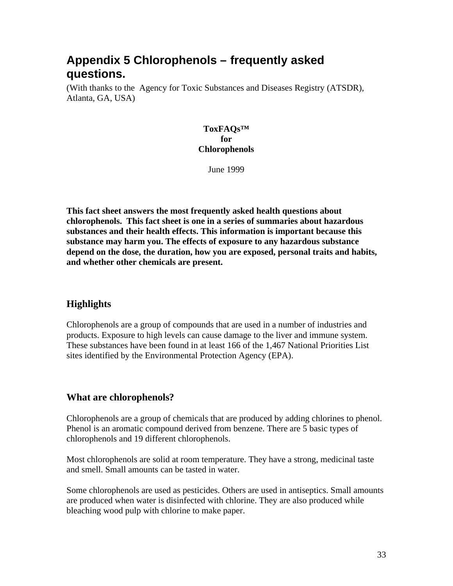# **Appendix 5 Chlorophenols – frequently asked questions.**

(With thanks to the Agency for Toxic Substances and Diseases Registry (ATSDR), Atlanta, GA, USA)

#### **ToxFAQs™ for Chlorophenols**

June 1999

**This fact sheet answers the most frequently asked health questions about chlorophenols. This fact sheet is one in a series of summaries about hazardous substances and their health effects. This information is important because this substance may harm you. The effects of exposure to any hazardous substance depend on the dose, the duration, how you are exposed, personal traits and habits, and whether other chemicals are present.**

# **Highlights**

Chlorophenols are a group of compounds that are used in a number of industries and products. Exposure to high levels can cause damage to the liver and immune system. These substances have been found in at least 166 of the 1,467 National Priorities List sites identified by the Environmental Protection Agency (EPA).

# **What are chlorophenols?**

Chlorophenols are a group of chemicals that are produced by adding chlorines to phenol. Phenol is an aromatic compound derived from benzene. There are 5 basic types of chlorophenols and 19 different chlorophenols.

Most chlorophenols are solid at room temperature. They have a strong, medicinal taste and smell. Small amounts can be tasted in water.

Some chlorophenols are used as pesticides. Others are used in antiseptics. Small amounts are produced when water is disinfected with chlorine. They are also produced while bleaching wood pulp with chlorine to make paper.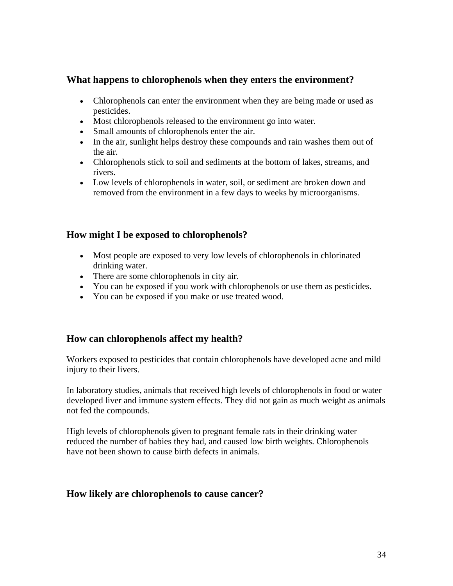# **What happens to chlorophenols when they enters the environment?**

- Chlorophenols can enter the environment when they are being made or used as pesticides.
- Most chlorophenols released to the environment go into water.
- Small amounts of chlorophenols enter the air.
- In the air, sunlight helps destroy these compounds and rain washes them out of the air.
- Chlorophenols stick to soil and sediments at the bottom of lakes, streams, and rivers.
- Low levels of chlorophenols in water, soil, or sediment are broken down and removed from the environment in a few days to weeks by microorganisms.

# **How might I be exposed to chlorophenols?**

- Most people are exposed to very low levels of chlorophenols in chlorinated drinking water.
- There are some chlorophenols in city air.
- You can be exposed if you work with chlorophenols or use them as pesticides.
- You can be exposed if you make or use treated wood.

# **How can chlorophenols affect my health?**

Workers exposed to pesticides that contain chlorophenols have developed acne and mild injury to their livers.

In laboratory studies, animals that received high levels of chlorophenols in food or water developed liver and immune system effects. They did not gain as much weight as animals not fed the compounds.

High levels of chlorophenols given to pregnant female rats in their drinking water reduced the number of babies they had, and caused low birth weights. Chlorophenols have not been shown to cause birth defects in animals.

#### **How likely are chlorophenols to cause cancer?**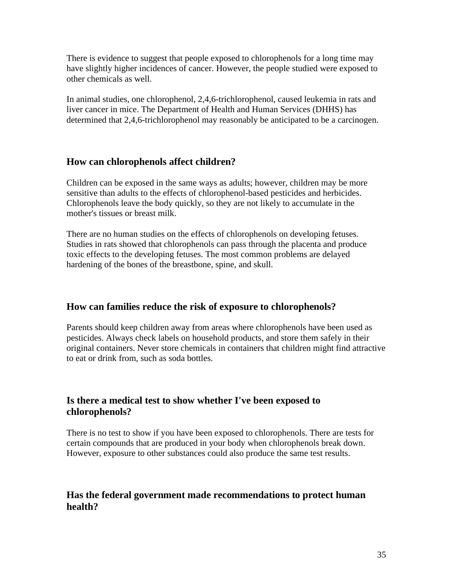There is evidence to suggest that people exposed to chlorophenols for a long time may have slightly higher incidences of cancer. However, the people studied were exposed to other chemicals as well.

In animal studies, one chlorophenol, 2,4,6-trichlorophenol, caused leukemia in rats and liver cancer in mice. The Department of Health and Human Services (DHHS) has determined that 2,4,6-trichlorophenol may reasonably be anticipated to be a carcinogen.

# **How can chlorophenols affect children?**

Children can be exposed in the same ways as adults; however, children may be more sensitive than adults to the effects of chlorophenol-based pesticides and herbicides. Chlorophenols leave the body quickly, so they are not likely to accumulate in the mother's tissues or breast milk.

There are no human studies on the effects of chlorophenols on developing fetuses. Studies in rats showed that chlorophenols can pass through the placenta and produce toxic effects to the developing fetuses. The most common problems are delayed hardening of the bones of the breastbone, spine, and skull.

# **How can families reduce the risk of exposure to chlorophenols?**

Parents should keep children away from areas where chlorophenols have been used as pesticides. Always check labels on household products, and store them safely in their original containers. Never store chemicals in containers that children might find attractive to eat or drink from, such as soda bottles.

# **Is there a medical test to show whether I've been exposed to chlorophenols?**

There is no test to show if you have been exposed to chlorophenols. There are tests for certain compounds that are produced in your body when chlorophenols break down. However, exposure to other substances could also produce the same test results.

# **Has the federal government made recommendations to protect human health?**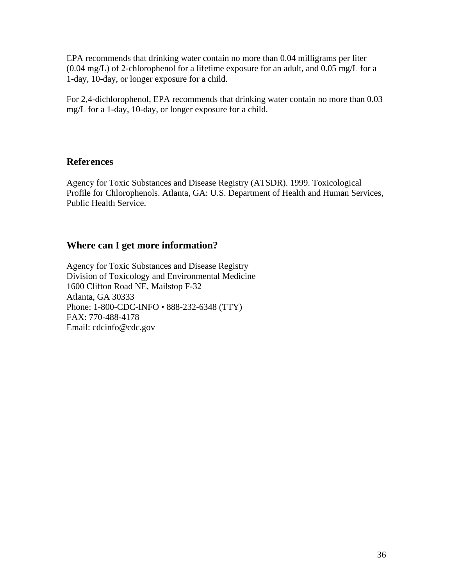EPA recommends that drinking water contain no more than 0.04 milligrams per liter (0.04 mg/L) of 2-chlorophenol for a lifetime exposure for an adult, and 0.05 mg/L for a 1-day, 10-day, or longer exposure for a child.

For 2,4-dichlorophenol, EPA recommends that drinking water contain no more than 0.03 mg/L for a 1-day, 10-day, or longer exposure for a child.

# **References**

Agency for Toxic Substances and Disease Registry (ATSDR). 1999. Toxicological Profile for Chlorophenols. Atlanta, GA: U.S. Department of Health and Human Services, Public Health Service.

# **Where can I get more information?**

Agency for Toxic Substances and Disease Registry Division of Toxicology and Environmental Medicine 1600 Clifton Road NE, Mailstop F-32 Atlanta, GA 30333 Phone: 1-800-CDC-INFO • 888-232-6348 (TTY) FAX: 770-488-4178 Email: cdcinfo@cdc.gov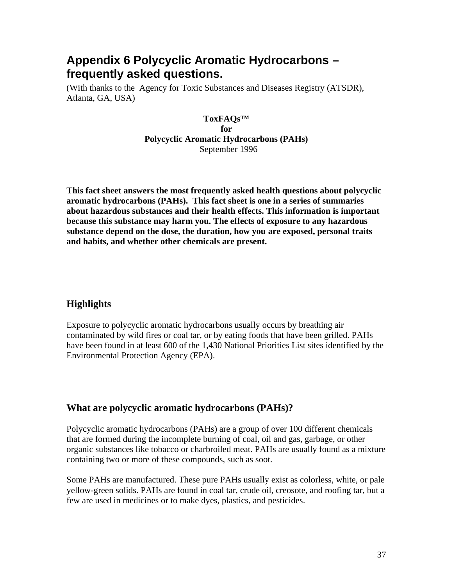# **Appendix 6 Polycyclic Aromatic Hydrocarbons – frequently asked questions.**

(With thanks to the Agency for Toxic Substances and Diseases Registry (ATSDR), Atlanta, GA, USA)

> **ToxFAQs™ for Polycyclic Aromatic Hydrocarbons (PAHs)** September 1996

**This fact sheet answers the most frequently asked health questions about polycyclic aromatic hydrocarbons (PAHs). This fact sheet is one in a series of summaries about hazardous substances and their health effects. This information is important because this substance may harm you. The effects of exposure to any hazardous substance depend on the dose, the duration, how you are exposed, personal traits and habits, and whether other chemicals are present.**

# **Highlights**

Exposure to polycyclic aromatic hydrocarbons usually occurs by breathing air contaminated by wild fires or coal tar, or by eating foods that have been grilled. PAHs have been found in at least 600 of the 1,430 National Priorities List sites identified by the Environmental Protection Agency (EPA).

# **What are polycyclic aromatic hydrocarbons (PAHs)?**

Polycyclic aromatic hydrocarbons (PAHs) are a group of over 100 different chemicals that are formed during the incomplete burning of coal, oil and gas, garbage, or other organic substances like tobacco or charbroiled meat. PAHs are usually found as a mixture containing two or more of these compounds, such as soot.

Some PAHs are manufactured. These pure PAHs usually exist as colorless, white, or pale yellow-green solids. PAHs are found in coal tar, crude oil, creosote, and roofing tar, but a few are used in medicines or to make dyes, plastics, and pesticides.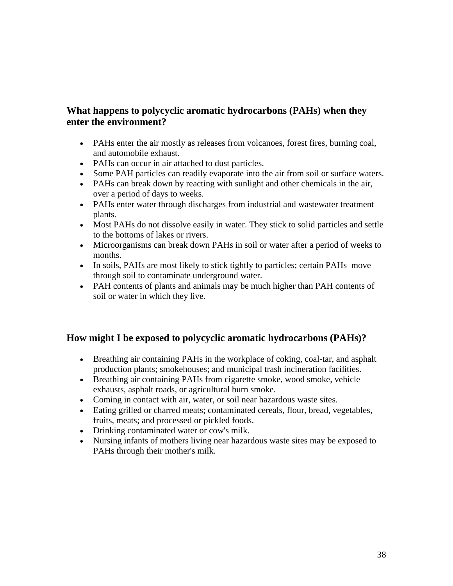# **What happens to polycyclic aromatic hydrocarbons (PAHs) when they enter the environment?**

- PAHs enter the air mostly as releases from volcanoes, forest fires, burning coal, and automobile exhaust.
- PAHs can occur in air attached to dust particles.
- Some PAH particles can readily evaporate into the air from soil or surface waters.
- PAHs can break down by reacting with sunlight and other chemicals in the air, over a period of days to weeks.
- PAHs enter water through discharges from industrial and wastewater treatment plants.
- Most PAHs do not dissolve easily in water. They stick to solid particles and settle to the bottoms of lakes or rivers.
- Microorganisms can break down PAHs in soil or water after a period of weeks to months.
- In soils, PAHs are most likely to stick tightly to particles; certain PAHs move through soil to contaminate underground water.
- PAH contents of plants and animals may be much higher than PAH contents of soil or water in which they live.

# **How might I be exposed to polycyclic aromatic hydrocarbons (PAHs)?**

- Breathing air containing PAHs in the workplace of coking, coal-tar, and asphalt production plants; smokehouses; and municipal trash incineration facilities.
- Breathing air containing PAHs from cigarette smoke, wood smoke, vehicle exhausts, asphalt roads, or agricultural burn smoke.
- Coming in contact with air, water, or soil near hazardous waste sites.
- Eating grilled or charred meats; contaminated cereals, flour, bread, vegetables, fruits, meats; and processed or pickled foods.
- Drinking contaminated water or cow's milk.
- Nursing infants of mothers living near hazardous waste sites may be exposed to PAHs through their mother's milk.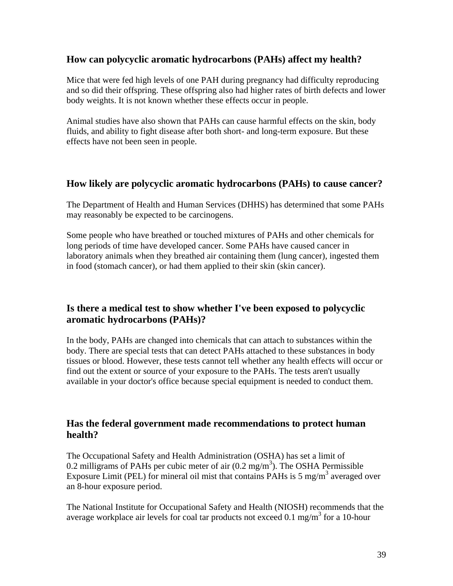# **How can polycyclic aromatic hydrocarbons (PAHs) affect my health?**

Mice that were fed high levels of one PAH during pregnancy had difficulty reproducing and so did their offspring. These offspring also had higher rates of birth defects and lower body weights. It is not known whether these effects occur in people.

Animal studies have also shown that PAHs can cause harmful effects on the skin, body fluids, and ability to fight disease after both short- and long-term exposure. But these effects have not been seen in people.

## **How likely are polycyclic aromatic hydrocarbons (PAHs) to cause cancer?**

The Department of Health and Human Services (DHHS) has determined that some PAHs may reasonably be expected to be carcinogens.

Some people who have breathed or touched mixtures of PAHs and other chemicals for long periods of time have developed cancer. Some PAHs have caused cancer in laboratory animals when they breathed air containing them (lung cancer), ingested them in food (stomach cancer), or had them applied to their skin (skin cancer).

# **Is there a medical test to show whether I've been exposed to polycyclic aromatic hydrocarbons (PAHs)?**

In the body, PAHs are changed into chemicals that can attach to substances within the body. There are special tests that can detect PAHs attached to these substances in body tissues or blood. However, these tests cannot tell whether any health effects will occur or find out the extent or source of your exposure to the PAHs. The tests aren't usually available in your doctor's office because special equipment is needed to conduct them.

# **Has the federal government made recommendations to protect human health?**

The Occupational Safety and Health Administration (OSHA) has set a limit of 0.2 milligrams of PAHs per cubic meter of air  $(0.2 \text{ mg/m}^3)$ . The OSHA Permissible Exposure Limit (PEL) for mineral oil mist that contains PAHs is 5 mg/m<sup>3</sup> averaged over an 8-hour exposure period.

The National Institute for Occupational Safety and Health (NIOSH) recommends that the average workplace air levels for coal tar products not exceed  $0.1 \text{ mg/m}^3$  for a 10-hour